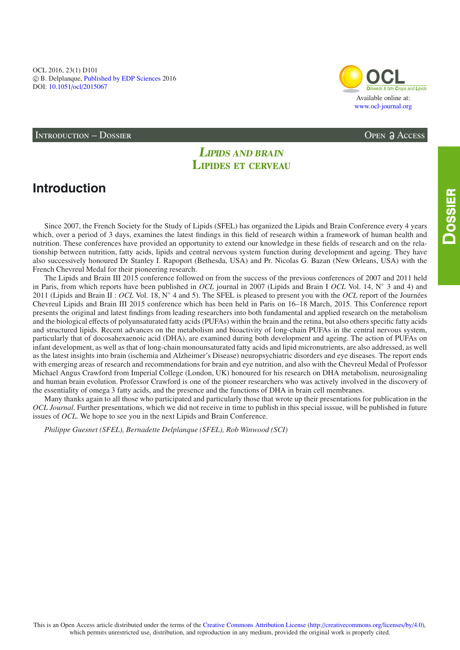OCL 2016, 23(1) D101 -c B. Delplanque, [Published by EDP Sciences](http://www.edpsciences.org) 2016 DOI: 10.1051/ocl/[2015067](http://dx.doi.org/10.1051/ocl/2015067)

#### INTRODUCTION – DOSSIER CHARLES CONSULTION – OPEN ACCESS

# **LIPIDS AND BRAIN L**ipides et cerveau

# **Introduction**

Since 2007, the French Society for the Study of Lipids (SFEL) has organized the Lipids and Brain Conference every 4 years which, over a period of 3 days, examines the latest findings in this field of research within a framework of human health and nutrition. These conferences have provided an opportunity to extend our knowledge in these fields of research and on the relationship between nutrition, fatty acids, lipids and central nervous system function during development and ageing. They have also successively honoured Dr Stanley I. Rapoport (Bethesda, USA) and Pr. Nicolas G. Bazan (New Orleans, USA) with the French Chevreul Medal for their pioneering research.

The Lipids and Brain III 2015 conference followed on from the success of the previous conferences of 2007 and 2011 held in Paris, from which reports have been published in *OCL* journal in 2007 (Lipids and Brain I *OCL* Vol. 14, N◦ 3 and 4) and 2011 (Lipids and Brain II : *OCL* Vol. 18, N◦ 4 and 5). The SFEL is pleased to present you with the *OCL* report of the Journées Chevreul Lipids and Brain III 2015 conference which has been held in Paris on 16–18 March, 2015. This Conference report presents the original and latest findings from leading researchers into both fundamental and applied research on the metabolism and the biological effects of polyunsaturated fatty acids (PUFAs) within the brain and the retina, but also others specific fatty acids and structured lipids. Recent advances on the metabolism and bioactivity of long-chain PUFAs in the central nervous system, particularly that of docosahexaenoic acid (DHA), are examined during both development and ageing. The action of PUFAs on infant development, as well as that of long-chain monounsaturated fatty acids and lipid micronutrients, are also addressed, as well as the latest insights into brain (ischemia and Alzheimer's Disease) neuropsychiatric disorders and eye diseases. The report ends with emerging areas of research and recommendations for brain and eye nutrition, and also with the Chevreul Medal of Professor Michael Angus Crawford from Imperial College (London, UK) honoured for his research on DHA metabolism, neurosignaling and human brain evolution. Professor Crawford is one of the pioneer researchers who was actively involved in the discovery of the essentiality of omega 3 fatty acids, and the presence and the functions of DHA in brain cell membranes.

Many thanks again to all those who participated and particularly those that wrote up their presentations for publication in the *OCL Journal*. Further presentations, which we did not receive in time to publish in this special isssue, will be published in future issues of *OCL*. We hope to see you in the next Lipids and Brain Conference.

*Philippe Guesnet (SFEL), Bernadette Delplanque (SFEL), Rob Winwood (SCI)*

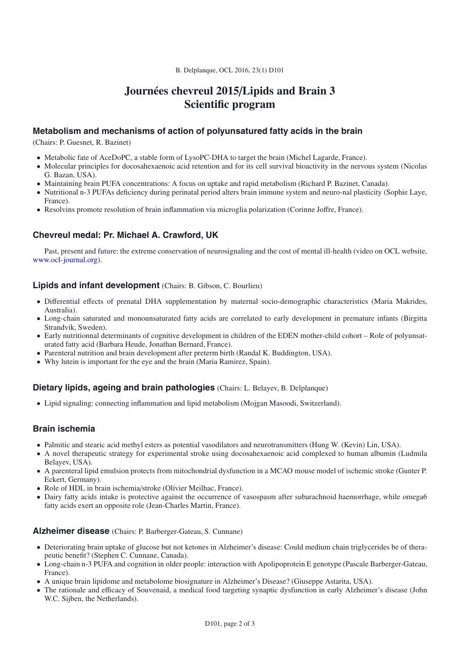#### B. Delplanque, OCL 2016, 23(1) D101

# **Journées chevreul 2015**/**Lipids and Brain 3 Scientific program**

#### **Metabolism and mechanisms of action of polyunsatured fatty acids in the brain**

(Chairs: P. Guesnet, R. Bazinet)

- Metabolic fate of AceDoPC, a stable form of LysoPC-DHA to target the brain (Michel Lagarde, France).
- Molecular principles for docosahexaenoic acid retention and for its cell survival bioactivity in the nervous system (Nicolas G. Bazan, USA).
- Maintaining brain PUFA concentrations: A focus on uptake and rapid metabolism (Richard P. Bazinet, Canada).
- Nutritional n-3 PUFAs deficiency during perinatal period alters brain immune system and neuro-nal plasticity (Sophie Laye, France).
- Resolvins promote resolution of brain inflammation via microglia polarization (Corinne Joffre, France).

### **Chevreul medal: Pr. Michael A. Crawford, UK**

Past, present and future: the extreme conservation of neurosignaling and the cost of mental ill-health (video on OCL website, [www.ocl-journal.org\)](www.ocl-journal.org).

#### **Lipids and infant development** (Chairs: B. Gibson, C. Bourlieu)

- Differential effects of prenatal DHA supplementation by maternal socio-demographic characteristics (Maria Makrides, Australia).
- Long-chain saturated and monounsaturated fatty acids are correlated to early development in premature infants (Birgitta Strandvik, Sweden).
- Early nutritionnal determinants of cognitive development in children of the EDEN mother-child cohort Role of polyunsaturated fatty acid (Barbara Heude, Jonathan Bernard, France).
- Parenteral nutrition and brain development after preterm birth (Randal K. Buddington, USA).
- Why lutein is important for the eye and the brain (Maria Ramirez, Spain).

#### **Dietary lipids, ageing and brain pathologies** (Chairs: L. Belayev, B. Delplanque)

• Lipid signaling: connecting inflammation and lipid metabolism (Mojgan Masoodi, Switzerland).

#### **Brain ischemia**

- Palmitic and stearic acid methyl esters as potential vasodilators and neurotransmitters (Hung W. (Kevin) Lin, USA).
- A novel therapeutic strategy for experimental stroke using docosahexaenoic acid complexed to human albumin (Ludmila Belayev, USA).
- A parenteral lipid emulsion protects from mitochondrial dysfunction in a MCAO mouse model of ischemic stroke (Gunter P. Eckert, Germany).
- Role of HDL in brain ischemia/stroke (Olivier Meilhac, France).
- Dairy fatty acids intake is protective against the occurrence of vasospasm after subarachnoid haemorrhage, while omega6 fatty acids exert an opposite role (Jean-Charles Martin, France).

#### **Alzheimer disease** (Chairs: P. Barberger-Gateau, S. Cunnane)

- Deteriorating brain uptake of glucose but not ketones in Alzheimer's disease: Could medium chain triglycerides be of therapeutic benefit? (Stephen C. Cunnane, Canada).
- Long-chain n-3 PUFA and cognition in older people: interaction with Apolipoprotein E genotype (Pascale Barberger-Gateau, France).
- A unique brain lipidome and metabolome biosignature in Alzheimer's Disease? (Giuseppe Astarita, USA).
- The rationale and efficacy of Souvenaid, a medical food targeting synaptic dysfunction in early Alzheimer's disease (John W.C. Sijben, the Netherlands).